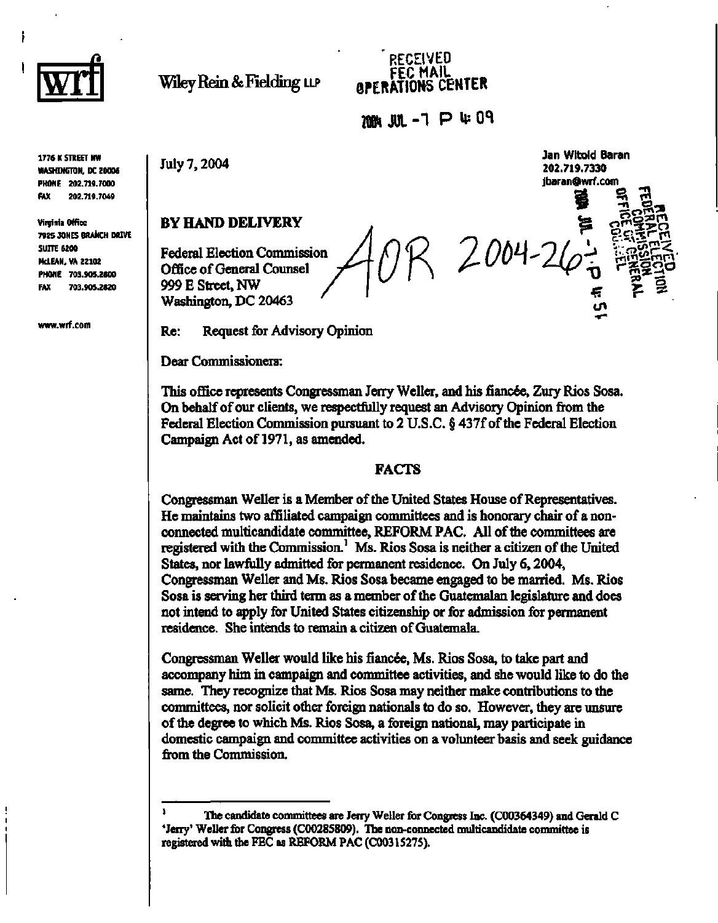

ł

**Wiley Rein & Fielding LLP** 

### **RECEIVED FEC MAIL<sup>m</sup> 8PERATI0HS CENTER**

*W\* **JUL -1 P U?** *W* 

 $2004$ 

**Jan Witold Baran 202.719.7330 [jbaran@wrf.com](mailto:jbaran@wrf.com)** 

**-•<sup>0</sup> c7»G^,** 

**2 o** 

**1776 K STREET NW WASHINGTON, DC 20006 PHONE 202.719.7000 FAX 202.719.7049** 

**Virginia Office 7925 JONES BRANCH DRIVE SUITE 6200 McLEAN, VA 22102 PHONE 703.905.2800 FAX 703.905.2820** 

**[www.wrf.com](http://www.wrf.com)** 

July 7,2004

**BY HAND DELIVERY** 

Federal Election Commission Office of General Counsel 999 E Street, NW Washington, DC 20463

Re: Request for Advisory Opinion

Dear Commissioners:

This office represents Congressman Jerry Weller, and his fiancée, Zury Rios Sosa. On behalf of our clients, we respectfully request an Advisory Opinion from the Federal Election Commission pursuant to 2 U.S.C. § 437f of the Federal Election Campaign Act of 1971, as amended.

### FACTS

Congressman Weller is a Member of the United States House of Representatives. He maintains two affiliated campaign committees and is honorary chair of a nonconnected multicandidate committee, REFORM PAC. All of the committees are registered with the Commission.<sup>1</sup> Ms. Rios Sosa is neither a citizen of the United States, nor lawfully admitted for permanent residence. On July 6,2004, Congressman Weller and Ms. Rios Sosa became engaged to be married. Ms. Rios Sosa is serving her third term as a member of the Guatemalan legislature and does not intend to apply for United States citizenship or for admission for permanent residence. She intends to remain a citizen of Guatemala.

Congressman Weller would like his fiancée, Ms. Rios Sosa, to take part and accompany him in campaign and committee activities, and she would like to do the same. They recognize that Ms. Rios Sosa may neither make contributions to the committees, nor solicit other foreign nationals to do so. However, they are unsure of the degree to which Ms. Rios Sosa, a foreign national, may participate in domestic campaign and committee activities on a volunteer basis and seek guidance from the Commission.

**<sup>1</sup> The candidate committees are Jerry Weller for Congress Inc. (C00364349) and Gerald C 'Jerry' Weller for Congress (C00285809). The non-connected multicandidate committee is registered with the FEC as REFORM PAC (C00315275).**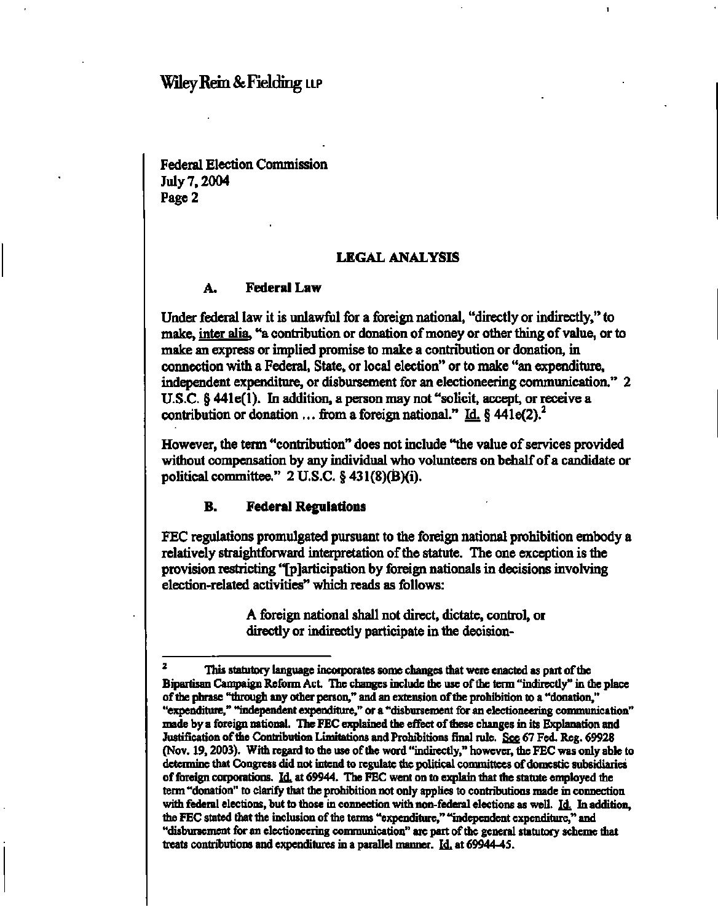# **Wiley Rein & Fielding LLP**

Federal Election Commission July 7,2004 Page 2

### **LEGAL ANALYSIS**

### **A. Federal Law**

Under federal law it is unlawful for a foreign national, "directly or indirectly," to make, inter alia, "a contribution or donation of money or other thing of value, or to make an express or implied promise to make a contribution or donation, in connection with a Federal, State, or local election" or to make "an expenditure, independent expenditure, or disbursement for an electioneering communication." 2 U.S.C. § 441e(l). In addition, a person may not "solicit, accept, or receive a contribution or donation ... from a foreign national." Id.  $\S$  441e(2).<sup>2</sup>

However, the term "contribution" does not include "the value of services provided without compensation by any individual who volunteers on behalf of a candidate or political committee." 2 U.S.C. § 431(8)(B)(i).

### **B. Federal Regulations**

FEC regulations promulgated pursuant to the foreign national prohibition embody a relatively straightforward interpretation of the statute. The one exception is the provision restricting "[p] articipation by foreign nationals in decisions involving election-related activities" which reads as follows:

> A foreign national shall not direct, dictate, control, or directly or indirectly participate in the decision-

**This statutory language incorporates some changes that were enacted as part of the Bipartisan Campaign Reform Act. The changes include the use of the term "indirectly" in the place of the phrase "through any other person," and an extension of the prohibition to a "donation," "expenditure," "independent expenditure," or a "disbursement for an electioneering communication" made by a foreign national. The FEC explained the effect of these changes in its Explanation and Justification of the Contribution Limitations and Prohibitions final rule. See 67 Fed. Reg. 69928 (Nov. 19,2003). With regard to the use of the word "indirectly," however, the FEC was only able to determine that Congress did not intend to regulate the political committees of domestic subsidiaries of foreign corporations. Id. at 69944. The FEC went on to explain that the statute employed the term "donation" to clarify that the prohibition not only applies to contributions made in connection**  with federal elections, but to those in connection with non-federal elections as well. Id. In addition, **the FEC stated that the inclusion of the terms "expenditure," "independent expenditure," and "disbursement for an electioneering communication" are part of the general statutory scheme that**  treats contributions and expenditures in a parallel manner. **Id.** at 69944-45.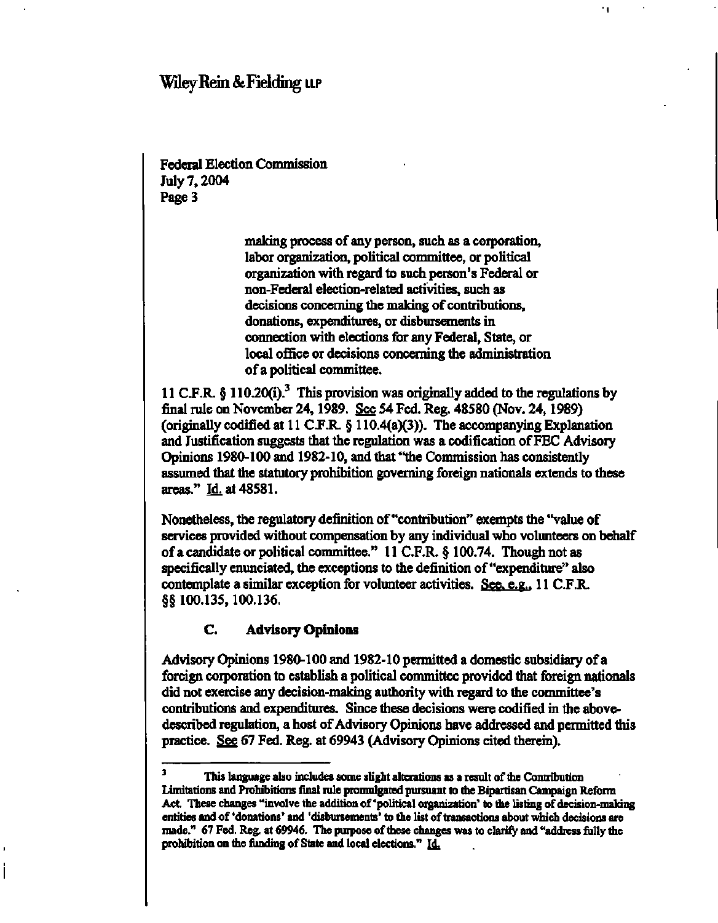# **Wiley Rein & Fielding u.p**

Federal Election Commission July 7,2004 Page 3

> making process of any person, such as a corporation, labor organization, political committee, or political organization with regard to such person's Federal or non-Federal election-related activities, such as decisions concerning the making of contributions, donations, expenditures, or disbursements in connection with elections for any Federal, State, or local office or decisions concerning the administration of a political committee.

11 C.F.R.  $\S 110.20(i).$ <sup>3</sup> This provision was originally added to the regulations by final rule on November 24,1989. See 54 Fed. Reg. 48580 (Nov. 24,1989) (originally codified at 11 C.F.R. § 110.4(a)(3)). The accompanying Explanation and Justification suggests that the regulation was a codification of FEC Advisory Opinions 1980-100 and 1982-10, and that "the Commission has consistently assumed that the statutory prohibition governing foreign nationals extends to these areas." Id. at 48581.

Nonetheless, the regulatory definition of "contribution" exempts the "value of services provided without compensation by any individual who volunteers on behalf of a candidate or political committee." 11 C.F.R. § 100.74. Though not as specifically enunciated, the exceptions to the definition of "expenditure" also contemplate a similar exception for volunteer activities. See, e.g.. 11 C.F.R. §§ 100.135,100.136.

### **C. Advisory Opinions**

Advisory Opinions 1980-100 and 1982-10 permitted a domestic subsidiary of a foreign corporation to establish a political committee provided that foreign nationals did not exercise any decision-making authority with regard to the committee's contributions and expenditures. Since these decisions were codified in the abovedescribed regulation, a host of Advisory Opinions have addressed and permitted this practice. See 67 Fed. Reg. at 69943 (Advisory Opinions cited therein).

<sup>3</sup> **This language also includes some slight alterations as a result of the Contribution Limitations and Prohibitions final rule promulgated pursuant to the Bipartisan Campaign Reform Act. These changes "involve the addition of'political organization' to the listing of decision-making entities and of 'donations' and 'disbursements' to the list of transactions about which decisions are made." 67 Fed. Reg. at 69946. The purpose of these changes was to clarify and "address fully the prohibition on the funding of State and local elections."** Id.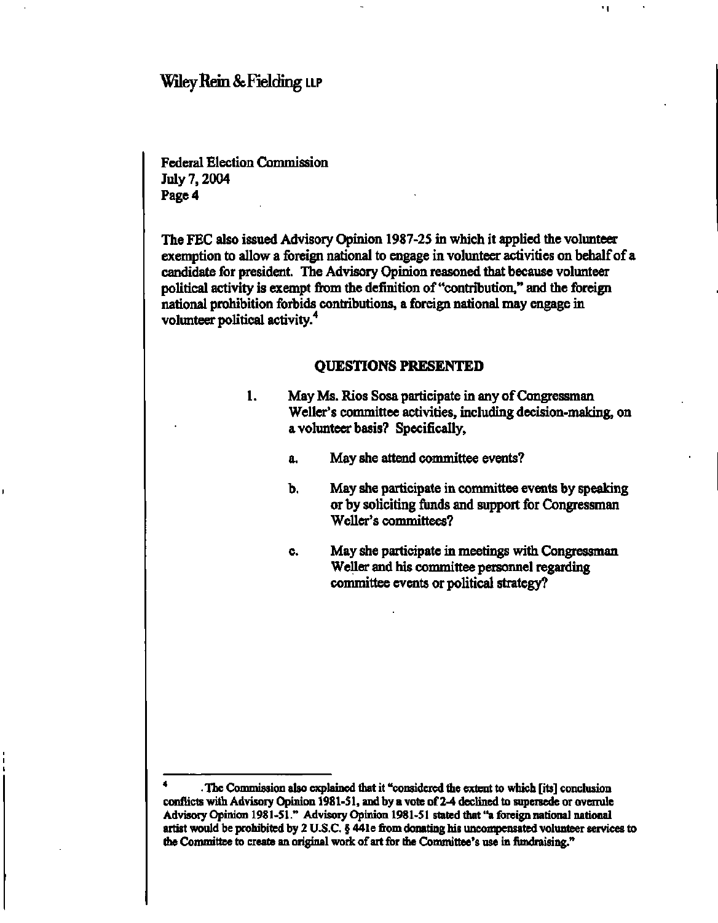## **Wiley Rein & Fielding LLP**

Federal Election Commission July 7,2004 Page 4

The FEC also issued Advisory Opinion 1987-25 in which it applied the volunteer exemption to allow a foreign national to engage in volunteer activities on behalf of a candidate for president. The Advisory Opinion reasoned that because volunteer political activity is exempt from the definition of "contribution," and the foreign national prohibition forbids contributions, a foreign national may engage in volunteer political activity.<sup>4</sup>

### **QUESTIONS PRESENTED**

- May Ms. Rios Sosa participate in any of Congressman 1. Weller's committee activities, including decision-making, on a volunteer basis? Specifically,
	- a. May she attend committee events?
	- b. May she participate in committee events by speaking or by soliciting funds and support for Congressman Weller's committees?

11

c. May she participate in meetings with Congressman Weller and his committee personnel regarding committee events or political strategy?

**<sup>4</sup> The Commission also explained that it "considered the extent to which [its] conclusion conflicts with Advisory Opinion 1981-51, and by a vote of 2-4 declined to supersede or overrule Advisory Opinion 1981-51." Advisory Opinion 1981-51 stated that "a foreign national national artist would be prohibited by 2 U.S.C. § 44 le from donating his uncompensated volunteer services to the Committee to create an original work of art for the Committee's use in fundraising."**